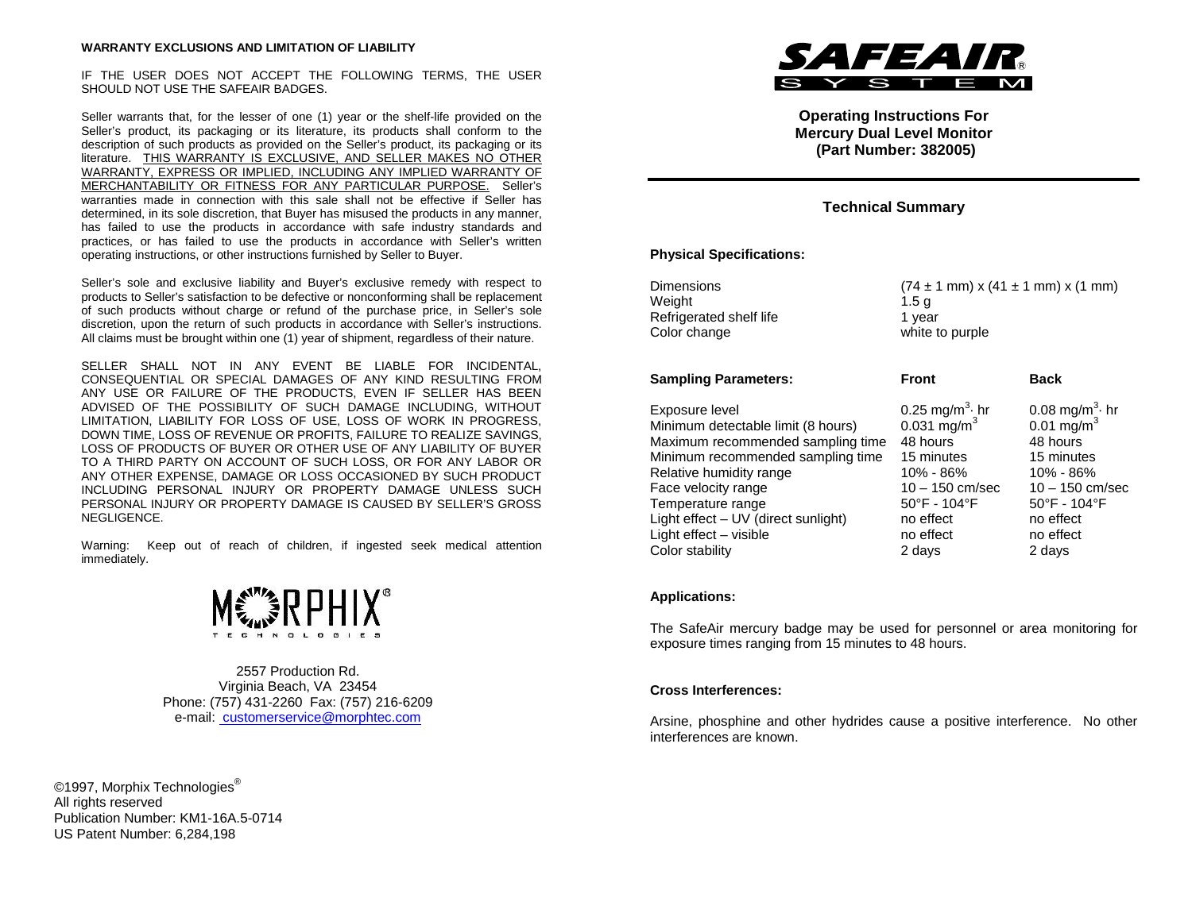IF THE USER DOES NOT ACCEPT THE FOLLOWING TERMS, THE USER SHOULD NOT USE THE SAFEAIR BADGES.

Seller warrants that, for the lesser of one (1) year or the shelf-life provided on the Seller's product, its packaging or its literature, its products shall conform to the description of such products as provided on the Seller's product, its packaging or its literature. THIS WARRANTY IS EXCLUSIVE, AND SELLER MAKES NO OTHER WARRANTY, EXPRESS OR IMPLIED, INCLUDING ANY IMPLIED WARRANTY OF MERCHANTABILITY OR FITNESS FOR ANY PARTICULAR PURPOSE. Seller's warranties made in connection with this sale shall not be effective if Seller has determined, in its sole discretion, that Buyer has misused the products in any manner, has failed to use the products in accordance with safe industry standards and practices, or has failed to use the products in accordance with Seller's written operating instructions, or other instructions furnished by Seller to Buyer.

Seller's sole and exclusive liability and Buyer's exclusive remedy with respect to products to Seller's satisfaction to be defective or nonconforming shall be replacement of such products without charge or refund of the purchase price, in Seller's sole discretion, upon the return of such products in accordance with Seller's instructions. All claims must be brought within one (1) year of shipment, regardless of their nature.

SELLER SHALL NOT IN ANY EVENT BE LIABLE FOR INCIDENTAL, CONSEQUENTIAL OR SPECIAL DAMAGES OF ANY KIND RESULTING FROM ANY USE OR FAILURE OF THE PRODUCTS, EVEN IF SELLER HAS BEEN ADVISED OF THE POSSIBILITY OF SUCH DAMAGE INCLUDING, WITHOUT LIMITATION, LIABILITY FOR LOSS OF USE, LOSS OF WORK IN PROGRESS, DOWN TIME, LOSS OF REVENUE OR PROFITS, FAILURE TO REALIZE SAVINGS, LOSS OF PRODUCTS OF BUYER OR OTHER USE OF ANY LIABILITY OF BUYER TO A THIRD PARTY ON ACCOUNT OF SUCH LOSS, OR FOR ANY LABOR OR ANY OTHER EXPENSE, DAMAGE OR LOSS OCCASIONED BY SUCH PRODUCT INCLUDING PERSONAL INJURY OR PROPERTY DAMAGE UNLESS SUCH PERSONAL INJURY OR PROPERTY DAMAGE IS CAUSED BY SELLER'S GROSS NEGLIGENCE.

Warning: Keep out of reach of children, if ingested seek medical attention immediately.



2557 Production Rd. Virginia Beach, VA 23454 Phone: (757) 431-2260 Fax: (757) 216-6209 e-mail: customerservice@morphtec.com

©1997, Morphix Technologies<sup>®</sup> All rights reserved Publication Number: KM1-16A.5-0714 US Patent Number: 6,284,198



**Operating Instructions For Mercury Dual Level Monitor (Part Number: 382005)**

# **Technical Summary**

## **Physical Specifications:**

| Dimensions                          | $(74 \pm 1 \text{ mm}) \times (41 \pm 1 \text{ mm}) \times (1 \text{ mm})$ |                                   |
|-------------------------------------|----------------------------------------------------------------------------|-----------------------------------|
| Weight                              | 1.5 <sub>g</sub>                                                           |                                   |
| Refrigerated shelf life             | 1 year                                                                     |                                   |
| Color change                        | white to purple                                                            |                                   |
| <b>Sampling Parameters:</b>         | Front                                                                      | <b>Back</b>                       |
| Exposure level                      | 0.25 mg/m <sup>3</sup> $\cdot$ hr                                          | 0.08 mg/m <sup>3</sup> $\cdot$ hr |
| Minimum detectable limit (8 hours)  | 0.031 mg/m <sup>3</sup>                                                    | $0.01 \text{ mg/m}^3$             |
| Maximum recommended sampling time   | 48 hours                                                                   | 48 hours                          |
| Minimum recommended sampling time   | 15 minutes                                                                 | 15 minutes                        |
| Relative humidity range             | 10% - 86%                                                                  | 10% - 86%                         |
| Face velocity range                 | 10 – 150 cm/sec                                                            | $10 - 150$ cm/sec                 |
| Temperature range                   | $50^{\circ}$ F - 104 $^{\circ}$ F                                          | 50°F - 104°F                      |
| Light effect – UV (direct sunlight) | no effect                                                                  | no effect                         |
| Light effect - visible              | no effect                                                                  | no effect                         |
| Color stability                     | 2 days                                                                     | 2 days                            |

## **Applications:**

The SafeAir mercury badge may be used for personnel or area monitoring for exposure times ranging from 15 minutes to 48 hours.

## **Cross Interferences:**

Arsine, phosphine and other hydrides cause a positive interference. No other interferences are known.